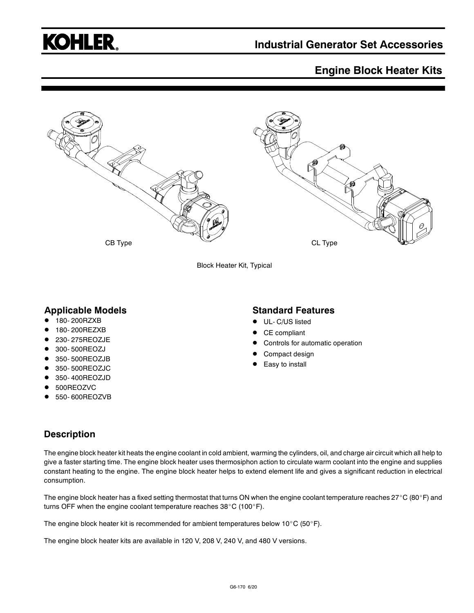

## **Engine Block Heater Kits**



Block Heater Kit, Typical

#### **Applicable Models**

- 180- 200RZXB
- 180- 200REZXB
- 230- 275REOZJE
- 300- 500REOZJ
- 350-500REOZJB
- 350- 500REOZJC
- 350- 400REOZJD
- 500REOZVC
- 550- 600REOZVB

#### **Standard Features**

- UL- C/US listed
- CE compliant
- Controls for automatic operation
- Compact design
- Easy to install

### **Description**

The engine block heater kit heats the engine coolant in cold ambient, warming the cylinders, oil, and charge air circuit which all help to give a faster starting time. The engine block heater uses thermosiphon action to circulate warm coolant into the engine and supplies constant heating to the engine. The engine block heater helps to extend element life and gives a significant reduction in electrical consumption.

The engine block heater has a fixed setting thermostat that turns ON when the engine coolant temperature reaches 27°C (80°F) and turns OFF when the engine coolant temperature reaches  $38^{\circ}$ C (100 $^{\circ}$ F).

The engine block heater kit is recommended for ambient temperatures below 10°C (50°F).

The engine block heater kits are available in 120 V, 208 V, 240 V, and 480 V versions.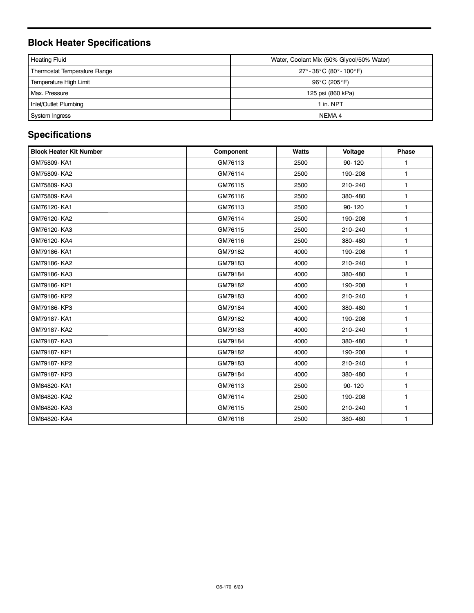# **Block Heater Specifications**

| <b>Heating Fluid</b>                | Water, Coolant Mix (50% Glycol/50% Water) |  |  |  |
|-------------------------------------|-------------------------------------------|--|--|--|
| <b>Thermostat Temperature Range</b> | $27^{\circ}$ -38°C (80°-100°F)            |  |  |  |
| Temperature High Limit              | 96°C (205°F)                              |  |  |  |
| Max. Pressure                       | 125 psi (860 kPa)                         |  |  |  |
| Inlet/Outlet Plumbing               | 1 in. NPT                                 |  |  |  |
| System Ingress                      | NEMA 4                                    |  |  |  |

# **Specifications**

| <b>Block Heater Kit Number</b> | Component | <b>Watts</b> | Voltage    | <b>Phase</b> |
|--------------------------------|-----------|--------------|------------|--------------|
| GM75809-KA1                    | GM76113   | 2500         | $90 - 120$ | $\mathbf{1}$ |
| GM75809-KA2                    | GM76114   | 2500         | 190-208    | $\mathbf{1}$ |
| GM75809-KA3                    | GM76115   | 2500         | 210-240    | $\mathbf{1}$ |
| GM75809-KA4                    | GM76116   | 2500         | 380-480    | $\mathbf{1}$ |
| GM76120-KA1                    | GM76113   | 2500         | $90 - 120$ | $\mathbf{1}$ |
| GM76120-KA2                    | GM76114   | 2500         | 190-208    | $\mathbf{1}$ |
| GM76120-KA3                    | GM76115   | 2500         | 210-240    | $\mathbf{1}$ |
| GM76120-KA4                    | GM76116   | 2500         | 380-480    | $\mathbf{1}$ |
| GM79186-KA1                    | GM79182   | 4000         | 190-208    | $\mathbf{1}$ |
| GM79186-KA2                    | GM79183   | 4000         | 210-240    | 1            |
| GM79186-KA3                    | GM79184   | 4000         | 380-480    | $\mathbf{1}$ |
| GM79186-KP1                    | GM79182   | 4000         | 190-208    | $\mathbf{1}$ |
| GM79186-KP2                    | GM79183   | 4000         | 210-240    | $\mathbf{1}$ |
| GM79186-KP3                    | GM79184   | 4000         | 380-480    | $\mathbf{1}$ |
| GM79187-KA1                    | GM79182   | 4000         | 190-208    | $\mathbf{1}$ |
| GM79187-KA2                    | GM79183   | 4000         | 210-240    | $\mathbf{1}$ |
| GM79187-KA3                    | GM79184   | 4000         | 380-480    | $\mathbf{1}$ |
| GM79187-KP1                    | GM79182   | 4000         | 190-208    | $\mathbf{1}$ |
| GM79187-KP2                    | GM79183   | 4000         | 210-240    | $\mathbf{1}$ |
| GM79187-KP3                    | GM79184   | 4000         | 380-480    | $\mathbf{1}$ |
| GM84820-KA1                    | GM76113   | 2500         | $90 - 120$ | $\mathbf{1}$ |
| GM84820-KA2                    | GM76114   | 2500         | 190-208    | $\mathbf{1}$ |
| GM84820-KA3                    | GM76115   | 2500         | 210-240    | $\mathbf{1}$ |
| GM84820-KA4                    | GM76116   | 2500         | 380-480    | 1            |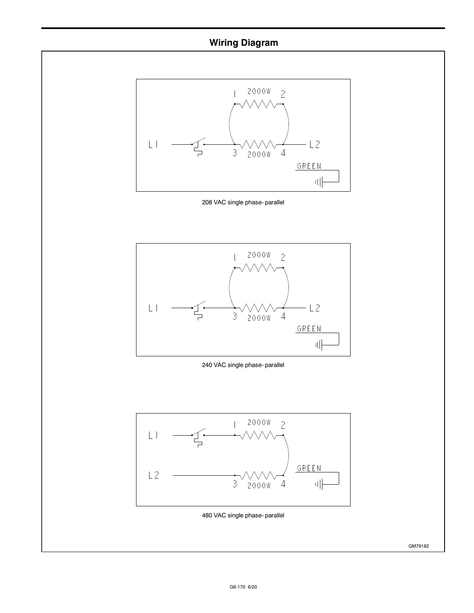## **Wiring Diagram**